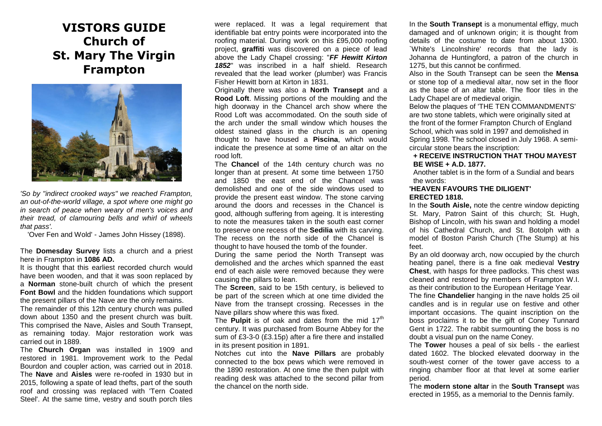# **VISTORS GUIDE Church of St. Mary The Virgin Frampton**



*'So by "indirect crooked ways" we reached Frampton, an out-of-the-world village, a spot where one might go in search of peace when weary of men's voices and their tread, of clamouring bells and whirl of wheels that pass'.* 

'Over Fen and Wold' - James John Hissey (1898).

The **Domesday Survey** lists a church and a priest here in Frampton in **1086 AD.**

It is thought that this earliest recorded church would have been wooden, and that it was soon replaced by a **Norman** stone-built church of which the present **Font Bowl** and the hidden foundations which support the present pillars of the Nave are the only remains.

The remainder of this 12th century church was pulled down about 1350 and the present church was built. This comprised the Nave, Aisles and South Transept, as remaining today. Major restoration work was carried out in 1889.

The **Church Organ** was installed in 1909 and restored in 1981. Improvement work to the Pedal Bourdon and coupler action, was carried out in 2018. The **Nave** and **Aisles** were re-roofed in 1930 but in 2015, following a spate of lead thefts, part of the south roof and crossing was replaced with 'Tern Coated Steel'. At the same time, vestry and south porch tiles

were replaced. It was a legal requirement that identifiable bat entry points were incorporated into the roofing material. During work on this £95,000 roofing project, **graffiti** was discovered on a piece of lead above the Lady Chapel crossing: "*FF Hewitt Kirton 1852*" was inscribed in a half shield. Research revealed that the lead worker (plumber) was Francis Fisher Hewitt born at Kirton in 1831.

Originally there was also a **North Transept** and a **Rood Loft**. Missing portions of the moulding and the high doorway in the Chancel arch show where the Rood Loft was accommodated. On the south side of the arch under the small window which houses the oldest stained glass in the church is an opening thought to have housed a **Piscina**, which would indicate the presence at some time of an altar on the rood loft.

The **Chancel** of the 14th century church was no longer than at present. At some time between 1750 and 1850 the east end of the Chancel was demolished and one of the side windows used to provide the present east window. The stone carving around the doors and recesses in the Chancel is good, although suffering from ageing. It is interesting to note the measures taken in the south east corner to preserve one recess of the **Sedilia** with its carving. The recess on the north side of the Chancel is thought to have housed the tomb of the founder.

During the same period the North Transept was demolished and the arches which spanned the east end of each aisle were removed because they were causing the pillars to lean.

The **Screen**, said to be 15th century, is believed to be part of the screen which at one time divided the Nave from the transept crossing. Recesses in the Nave pillars show where this was fixed.

The **Pulpit** is of oak and dates from the mid 17<sup>th</sup> century. It was purchased from Bourne Abbey for the sum of £3-3-0 (£3.15p) after a fire there and installed in its present position in 1891.

Notches cut into the **Nave Pillars** are probably connected to the box pews which were removed in the 1890 restoration. At one time the then pulpit with reading desk was attached to the second pillar from the chancel on the north side.

In the **South Transept** is a monumental effigy, much damaged and of unknown origin; it is thought from details of the costume to date from about 1300. `White's Lincolnshire' records that the lady is Johanna de Huntingford, a patron of the church in 1275, but this cannot be confirmed.

Also in the South Transept can be seen the **Mensa**  or stone top of a medieval altar, now set in the floor as the base of an altar table. The floor tiles in the Lady Chapel are of medieval origin.

Below the plaques of 'THE TEN COMMANDMENTS' are two stone tablets, which were originally sited at the front of the former Frampton Church of England School, which was sold in 1997 and demolished in Spring 1998. The school closed in July 1968. A semicircular stone bears the inscription:

### **+ RECEIVE INSTRUCTION THAT THOU MAYEST BE WISE + A.D. 1877.**

Another tablet is in the form of a Sundial and bears the words:

### **'HEAVEN FAVOURS THE DILIGENT' ERECTED 1818.**

In the **South Aisle,** note the centre window depicting St. Mary, Patron Saint of this church; St. Hugh, Bishop of Lincoln, with his swan and holding a model of his Cathedral Church, and St. Botolph with a model of Boston Parish Church (The Stump) at his feet.

By an old doorway arch, now occupied by the church heating panel, there is a fine oak medieval **Vestry Chest**, with hasps for three padlocks. This chest was cleaned and restored by members of Frampton W.I. as their contribution to the European Heritage Year.

The fine **Chandelier** hanging in the nave holds 25 oil candles and is in regular use on festive and other important occasions. The quaint inscription on the boss proclaims it to be the gift of Coney Tunnard Gent in 1722. The rabbit surmounting the boss is no doubt a visual pun on the name Coney.

The **Tower** houses a peal of six bells - the earliest dated 1602. The blocked elevated doorway in the south-west corner of the tower gave access to a ringing chamber floor at that level at some earlier period.

The **modern stone altar** in the **South Transept** was erected in 1955, as a memorial to the Dennis family.